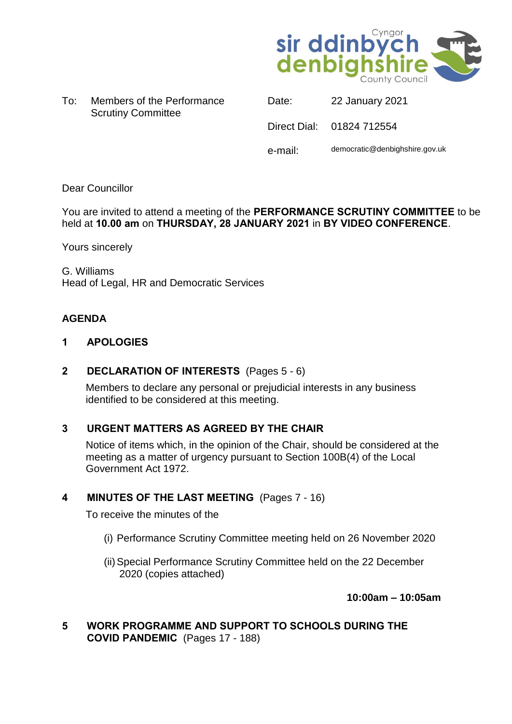

To: Members of the Performance Scrutiny Committee

| <u>.</u> | $LL$ variably $LVE$            |
|----------|--------------------------------|
|          | Direct Dial: 01824 712554      |
| e-mail:  | democratic@denbighshire.gov.uk |

Date: 22 January 2021

## Dear Councillor

You are invited to attend a meeting of the **PERFORMANCE SCRUTINY COMMITTEE** to be held at **10.00 am** on **THURSDAY, 28 JANUARY 2021** in **BY VIDEO CONFERENCE**.

Yours sincerely

G. Williams Head of Legal, HR and Democratic Services

## **AGENDA**

### **1 APOLOGIES**

## **2 DECLARATION OF INTERESTS** (Pages 5 - 6)

Members to declare any personal or prejudicial interests in any business identified to be considered at this meeting.

## **3 URGENT MATTERS AS AGREED BY THE CHAIR**

Notice of items which, in the opinion of the Chair, should be considered at the meeting as a matter of urgency pursuant to Section 100B(4) of the Local Government Act 1972.

## **4 MINUTES OF THE LAST MEETING** (Pages 7 - 16)

To receive the minutes of the

- (i) Performance Scrutiny Committee meeting held on 26 November 2020
- (ii)Special Performance Scrutiny Committee held on the 22 December 2020 (copies attached)

**10:00am – 10:05am**

**5 WORK PROGRAMME AND SUPPORT TO SCHOOLS DURING THE COVID PANDEMIC** (Pages 17 - 188)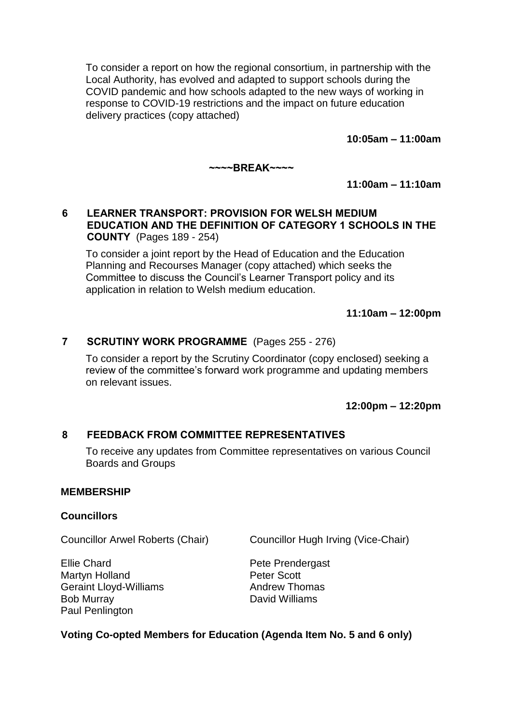To consider a report on how the regional consortium, in partnership with the Local Authority, has evolved and adapted to support schools during the COVID pandemic and how schools adapted to the new ways of working in response to COVID-19 restrictions and the impact on future education delivery practices (copy attached)

**10:05am – 11:00am**

**~~~~BREAK~~~~**

**11:00am – 11:10am**

## **6 LEARNER TRANSPORT: PROVISION FOR WELSH MEDIUM EDUCATION AND THE DEFINITION OF CATEGORY 1 SCHOOLS IN THE COUNTY** (Pages 189 - 254)

To consider a joint report by the Head of Education and the Education Planning and Recourses Manager (copy attached) which seeks the Committee to discuss the Council's Learner Transport policy and its application in relation to Welsh medium education.

**11:10am – 12:00pm**

## **7 SCRUTINY WORK PROGRAMME** (Pages 255 - 276)

To consider a report by the Scrutiny Coordinator (copy enclosed) seeking a review of the committee's forward work programme and updating members on relevant issues.

**12:00pm – 12:20pm**

## **8 FEEDBACK FROM COMMITTEE REPRESENTATIVES**

To receive any updates from Committee representatives on various Council Boards and Groups

### **MEMBERSHIP**

### **Councillors**

Councillor Arwel Roberts (Chair) Councillor Hugh Irving (Vice-Chair)

Ellie Chard Martyn Holland Geraint Lloyd-Williams Bob Murray Paul Penlington

Pete Prendergast Peter Scott Andrew Thomas David Williams

## **Voting Co-opted Members for Education (Agenda Item No. 5 and 6 only)**